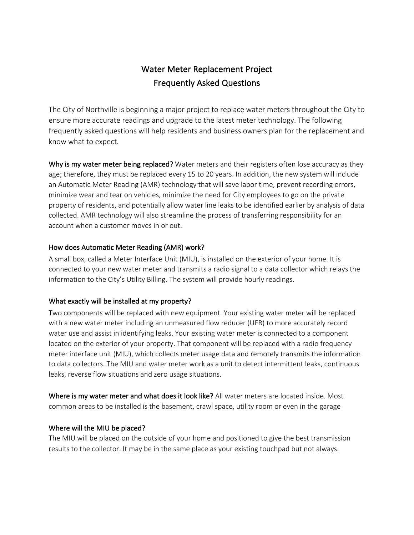# Water Meter Replacement Project Frequently Asked Questions

The City of Northville is beginning a major project to replace water meters throughout the City to ensure more accurate readings and upgrade to the latest meter technology. The following frequently asked questions will help residents and business owners plan for the replacement and know what to expect.

Why is my water meter being replaced? Water meters and their registers often lose accuracy as they age; therefore, they must be replaced every 15 to 20 years. In addition, the new system will include an Automatic Meter Reading (AMR) technology that will save labor time, prevent recording errors, minimize wear and tear on vehicles, minimize the need for City employees to go on the private property of residents, and potentially allow water line leaks to be identified earlier by analysis of data collected. AMR technology will also streamline the process of transferring responsibility for an account when a customer moves in or out.

## How does Automatic Meter Reading (AMR) work?

A small box, called a Meter Interface Unit (MIU), is installed on the exterior of your home. It is connected to your new water meter and transmits a radio signal to a data collector which relays the information to the City's Utility Billing. The system will provide hourly readings.

# What exactly will be installed at my property?

Two components will be replaced with new equipment. Your existing water meter will be replaced with a new water meter including an unmeasured flow reducer (UFR) to more accurately record water use and assist in identifying leaks. Your existing water meter is connected to a component located on the exterior of your property. That component will be replaced with a radio frequency meter interface unit (MIU), which collects meter usage data and remotely transmits the information to data collectors. The MIU and water meter work as a unit to detect intermittent leaks, continuous leaks, reverse flow situations and zero usage situations.

Where is my water meter and what does it look like? All water meters are located inside. Most common areas to be installed is the basement, crawl space, utility room or even in the garage

# Where will the MIU be placed?

The MIU will be placed on the outside of your home and positioned to give the best transmission results to the collector. It may be in the same place as your existing touchpad but not always.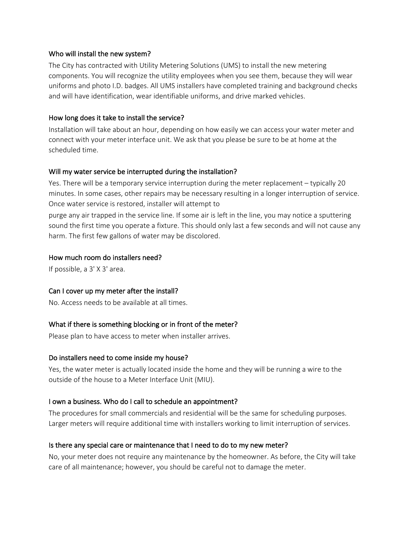#### Who will install the new system?

The City has contracted with Utility Metering Solutions (UMS) to install the new metering components. You will recognize the utility employees when you see them, because they will wear uniforms and photo I.D. badges. All UMS installers have completed training and background checks and will have identification, wear identifiable uniforms, and drive marked vehicles.

## How long does it take to install the service?

Installation will take about an hour, depending on how easily we can access your water meter and connect with your meter interface unit. We ask that you please be sure to be at home at the scheduled time.

#### Will my water service be interrupted during the installation?

Yes. There will be a temporary service interruption during the meter replacement – typically 20 minutes. In some cases, other repairs may be necessary resulting in a longer interruption of service. Once water service is restored, installer will attempt to

purge any air trapped in the service line. If some air is left in the line, you may notice a sputtering sound the first time you operate a fixture. This should only last a few seconds and will not cause any harm. The first few gallons of water may be discolored.

#### How much room do installers need?

If possible, a 3' X 3' area.

#### Can I cover up my meter after the install?

No. Access needs to be available at all times.

# What if there is something blocking or in front of the meter?

Please plan to have access to meter when installer arrives.

#### Do installers need to come inside my house?

Yes, the water meter is actually located inside the home and they will be running a wire to the outside of the house to a Meter Interface Unit (MIU).

# I own a business. Who do I call to schedule an appointment?

The procedures for small commercials and residential will be the same for scheduling purposes. Larger meters will require additional time with installers working to limit interruption of services.

# Is there any special care or maintenance that I need to do to my new meter?

No, your meter does not require any maintenance by the homeowner. As before, the City will take care of all maintenance; however, you should be careful not to damage the meter.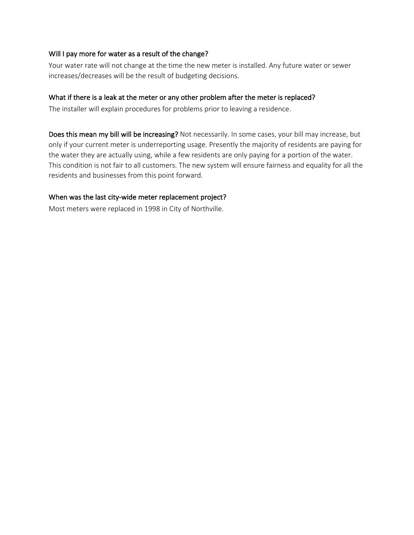#### Will I pay more for water as a result of the change?

Your water rate will not change at the time the new meter is installed. Any future water or sewer increases/decreases will be the result of budgeting decisions.

#### What if there is a leak at the meter or any other problem after the meter is replaced?

The installer will explain procedures for problems prior to leaving a residence.

Does this mean my bill will be increasing? Not necessarily. In some cases, your bill may increase, but only if your current meter is underreporting usage. Presently the majority of residents are paying for the water they are actually using, while a few residents are only paying for a portion of the water. This condition is not fair to all customers. The new system will ensure fairness and equality for all the residents and businesses from this point forward.

#### When was the last city-wide meter replacement project?

Most meters were replaced in 1998 in City of Northville.